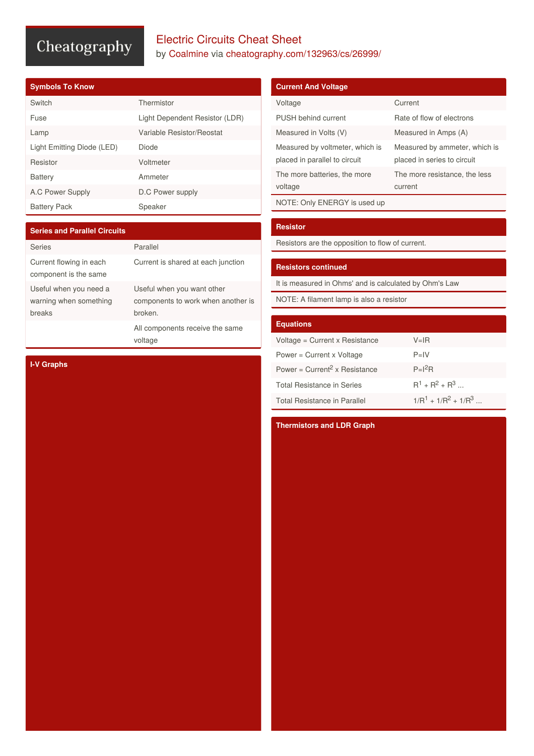# Cheatography

### Electric Circuits Cheat Sheet by [Coalmine](http://www.cheatography.com/coalmine/) via [cheatography.com/132963/cs/26999/](http://www.cheatography.com/coalmine/cheat-sheets/electric-circuits)

|  | <b>Symbols To Know</b> |
|--|------------------------|

| Switch                     | Thermistor                     |
|----------------------------|--------------------------------|
| Fuse                       | Light Dependent Resistor (LDR) |
| Lamp                       | Variable Resistor/Reostat      |
| Light Emitting Diode (LED) | Diode                          |
| Resistor                   | Voltmeter                      |
| <b>Battery</b>             | Ammeter                        |
| A.C Power Supply           | D.C Power supply               |
| <b>Battery Pack</b>        | Speaker                        |

| <b>Series and Parallel Circuits</b>                        |                                                                             |
|------------------------------------------------------------|-----------------------------------------------------------------------------|
| <b>Series</b>                                              | Parallel                                                                    |
| Current flowing in each<br>component is the same           | Current is shared at each junction                                          |
| Useful when you need a<br>warning when something<br>breaks | Useful when you want other<br>components to work when another is<br>broken. |
|                                                            | All components receive the same<br>voltage                                  |

#### **Current And Voltage**

| Voltage                                                          | Current                                                      |
|------------------------------------------------------------------|--------------------------------------------------------------|
| <b>PUSH behind current</b>                                       | Rate of flow of electrons                                    |
| Measured in Volts (V)                                            | Measured in Amps (A)                                         |
| Measured by voltmeter, which is<br>placed in parallel to circuit | Measured by ammeter, which is<br>placed in series to circuit |
| The more batteries, the more<br>voltage                          | The more resistance, the less<br>current                     |
| NOTE: Only ENEDCV is used up                                     |                                                              |

NOTE: Only ENERGY is used up

#### **Resistor**

Resistors are the opposition to flow of current.

#### **Resistors continued**

It is measured in Ohms' and is calculated by Ohm's Law

NOTE: A filament lamp is also a resistor

#### **Equations**

| Voltage = $Current \times Resistance$ | $V = IR$                |
|---------------------------------------|-------------------------|
| Power = $Current \times Voltage$      | $P=IV$                  |
| Power = $Current2$ x Resistance       | $P=I^2R$                |
| Total Resistance in Series            | $R^1 + R^2 + R^3$       |
| Total Resistance in Parallel          | $1/R^1 + 1/R^2 + 1/R^3$ |

#### **Thermistors and LDR Graph**

**I-V Graphs**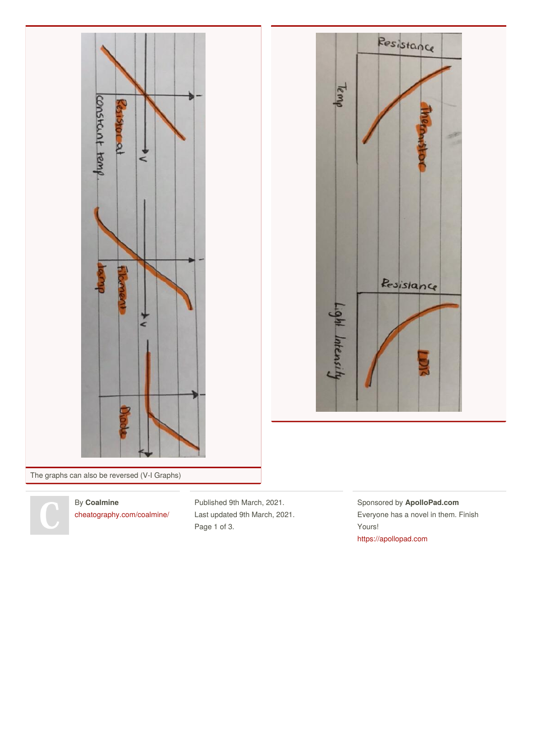



The graphs can also be reversed (V-I Graphs)

By **Coalmine** [cheatography.com/coalmine/](http://www.cheatography.com/coalmine/) Published 9th March, 2021. Last updated 9th March, 2021. Page 1 of 3.

Sponsored by **ApolloPad.com** Everyone has a novel in them. Finish Yours! <https://apollopad.com>